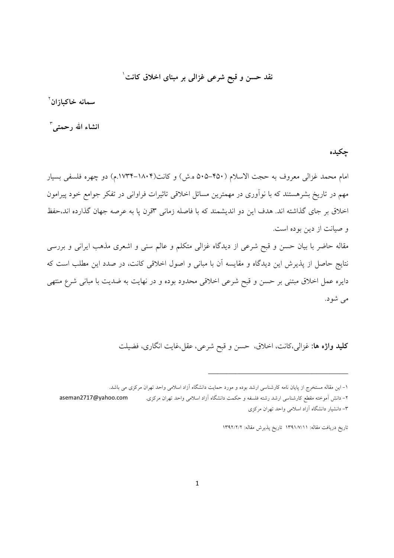نقد حسن و قبح شرعی غزالی بر مبنای اخلاق کانت<sup>\</sup>

**سمانه خاکبازان<sup>۲</sup>** 

**انشاء الله رحمتى** ٔ

چکیده

امام محمد غزالی معروف به حجت الاسلام (۴۵۰–۵۰۵ ه.ش) و کانت(۱۸۰۴–۱۷۳۴.م) دو چهره فلسفی بسیار مهم در تاریخ بشرهستند که با نوآوری در مهمترین مسائل اخلاقی تاثیرات فراوانی در تفکر جوامع خود پیرامون اخلاق بر جای گذاشته اند. هدف این دو اندیشمند که با فاصله زمانی ۳قرن پا به عرصه جهان گذارده اند،حفظ و صیانت از دین بوده است.

مقاله حاضر با بیان حسن و قبح شرعی از دیدگاه غزالی متکلم و عالم سنی و اشعری مذهب ایرانی و بررسی نتایج حاصل از پذیرش این دیدگاه و مقایسه ان با مبانی و اصول اخلاقی کانت، در صدد این مطلب است که دایره عمل اخلاق مبتنی بر حسن و قبح شرعی اخلاقی محدود بوده و در نهایت به ضدیت با مبانی شرع منتهی می شود.

**کلید واژه ها**: غزالی،کانت، اخلاق، حسن و قبح شرعی، عقل،غایت انگاری، فضیلت

۱– این مقاله مستخرج از پایان نامه کارشناسی ارشد بوده و مورد حمایت دانشگاه ازاد اسلامی واحد تهران مرکزی می باشد.

۲– دانش اَموخته مقطع کارشناسی ارشد رشته فلسفه و حکمت دانشگاه اَزاد اسلامی واحد تهران مرکزی. moseman2717@yahoo.com ۳– دانشیار دانشگاه آزاد اسلامی واحد تهران مرکزی

تاریخ دریافت مقاله: ۱۳۹۱/۷/۱۱ تاریخ پذیرش مقاله: ۱۳۹۲/۲/۲

 $\overline{\phantom{a}}$  , which is a set of the set of the set of the set of the set of the set of the set of the set of the set of the set of the set of the set of the set of the set of the set of the set of the set of the set of th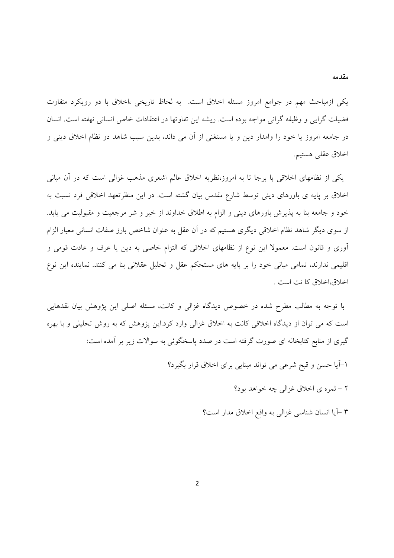یکی ازمباحث مهم در جوامع امروز مسئله اخلاق است. به لحاظ تاریخی ،اخلاق با دو رویکرد متفاوت فضيلت گرايي و وظيفه گرائي مواجه بوده است. ريشه اين تفاوتها در اعتقادات خاص انساني نهفته است. انسان در جامعه امروز یا خود را وامدار دین و یا مستغنی از آن می داند، بدین سبب شاهد دو نظام اخلاق دینی و اخلاق عقلبي هستيم.

یکی از نظامهای اخلاقی یا برجا تا به امروز،نظریه اخلاق عالم اشعری مذهب غزالی است که در آن مبانی اخلاق بر پایه ی باورهای دینی توسط شارع مقدس بیان گشته است. در این منظرتعهد اخلاقی فرد نسبت به خود و جامعه بنا به پذیرش باورهای دینی و الزام به اطلاق خداوند از خیر و شر مرجعیت و مقبولیت می یابد. از سوی دیگر شاهد نظام اخلاقی دیگری هستیم که در آن عقل به عنوان شاخص بارز صفات انسانی معیار الزام آوری و قانون است. معمولا این نوع از نظامهای اخلاقی که التزام خاصی به دین یا عرف و عادت قومی و اقلیمی ندارند، تمامی مبانی خود را بر پایه های مستحکم عقل و تحلیل عقلانی بنا می کنند. نماینده این نوع اخلاق،اخلاق كا نت است .

با توجه به مطالب مطرح شده در خصوص دیدگاه غزالی و کانت، مسئله اصلی این پژوهش بیان نقدهایی است که می توان از دیدگاه اخلاقی کانت به اخلاق غزالی وارد کرد.این پژوهش که به روش تحلیلی و با بهره گیری از منابع کتابخانه ای صورت گرفته است در صدد پاسخگوئی به سوالات زیر بر آمده است:

۱-آیا حسن و قبح شرعی می تواند مبنایی برای اخلاق قرار بگیرد؟

۲ – ثمره ي اخلاق غزالي چه خواهد بود؟

۳ –آیا انسان شناسی غزالی به واقع اخلاق مدار است؟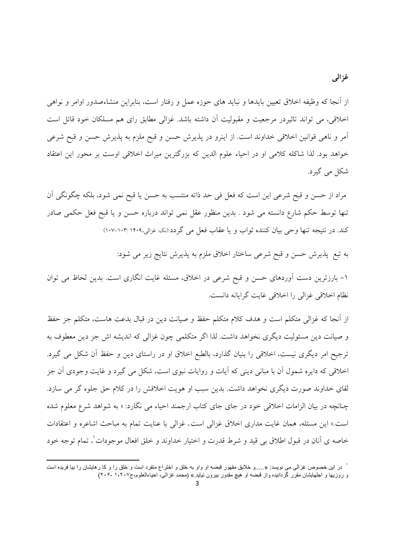از آنجا که وظیفه اخلاق تعیین بایدها و نباید های حوزه عمل و رفتار است، بنابراین منشاءصدور اوامر و نواهی اخلاقی، می تواند تاثیردر مرجعیت و مقبولیت آن داشته باشد. غزالی مطابق رای هم مسلکان خود قائل است آمر و ناهی قوانین اخلاقی خداوند است. از اینرو در پذیرش حسن و قبح ملزم به پذیرش حسن و قبح شرعی خواهد بود. لذا شاكله كلامي او در احياء علوم الدين كه بزرگترين ميراث اخلاقي اوست بر محور اين اعتقاد شکل می گیرد.

مراد از حسن و قبح شرعي اين است كه فعل في حد ذاته منتسب به حسن يا قبح نمي شود، بلكه چگونگي آن تنها توسط حکم شارع دانسته می شود . بدین منظور عقل نمی تواند درباره حسن و یا قبح فعل حکمی صادر کند. در نتیجه تنها وحی بیان کننده ثواب و یا عقاب فعل می گردد.(نک: غزالی،۱۴۰۹-۱۰۳: ۱۰۷-۱۰۷)

به تبع پذیرش حسن و قبح شرعی ساختار اخلاق ملزم به پذیرش نتایج زیر می شود:

۱- بارزترین دست آوردهای حسن و قبح شرعی در اخلاق، مسئله غایت انگاری است. بدین لحاظ می توان نظام اخلاقی غزالی را اخلاقی غایت گرایانه دانست.

از آنجا که غزالی متکلم است و هدف کلام متکلم حفظ و صیانت دین در قبال بدعت هاست، متکلم جز حفظ و صيانت دين مسئوليت ديگري نخواهد داشت. لذا اگر متكلمي چون غزالي كه انديشه اش جز دين معطوف به ترجیح امر دیگری نیست، اخلاقی را بنیان گذارد، بالطبع اخلاق او در راستای دین و حفظ آن شکل می گیرد. اخلاقی که دایره شمول اّن با مبانی دینی که اّیات و روایات نبوی است، شکل می گیرد و غایت وجودی اّن جز لقای خداوند صورت دیگری نخواهد داشت. بدین سبب او هویت اخلاقش را در کلام حق جلوه گر می سازد. چنانچه در بیان الزامات اخلاقی خود در جای جای کتاب ارجمند احیاء می نگارد: « به شواهد شرع معلوم شده است.» این مسئله، همان غایت مداری اخلاق غزالی است. غزالی با عنایت تمام به مباحث اشاعره و اعتقادات خاصه ی آنان در قبول اطلاق بی قید و شرط قدرت و اختیار خداوند و خلق افعال موجودات ْ، تمام توجه خود

<sup>&</sup>lt;sup>י</sup> در این خصوص غزالی می نویسد: «.....و خلایق مقهور قبضه او واو به خلق و اختراع متفرد است و خلق را و کا رهایشان را بیا فریده است و روزیها و اجلهایشان مقرر گردانیده واز قبضه او هیچ مقدور بیرون نیاید.» (محمد غزالی، احیاءالعلوم،ج۱،۲۰۷ -۲۰۶)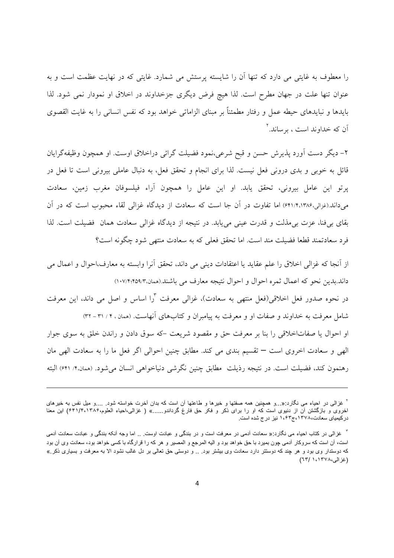را معطوف به غایتی می دارد که تنها ان را شایسته پرستش می شمارد. غایتی که در نهایت عظمت است و به عنوان تنها علت در جهان مطرح است. لذا هیچ فرض دیگری جزخداوند در اخلاق او نمودار نمی شود. لذا بایدها و نبایدهای حیطه عمل و رفتار مطمئنا بر مبنای الزاماتی خواهد بود که نفس انسانی را به غایت القصوی اّن که خداوند است ، برساند.<sup>۲</sup>

۲– دیگر دست اورد پذیرش حسن و قبح شرعی،نمود فضیلت گرائی دراخلاق اوست. او همچون وظیفهگرایان قائل به خوبی و بدی درونی فعل نیست. لذا برای انجام و تحقق فعل، به دنبال عاملی بیرونی است تا فعل در پرتو این عامل بیرونی، تحقق یابد. او این عامل را همچون آراء فیلسوفان مغرب زمین، سعادت میداند.(غزالی،۱۳۸۶،۴۱/۴،۱۳۸۶) اما تفاوت در ان جا است که سعادت از دیدگاه غزالی لقاء محبوب است که در ان بقای بیفنا، عزت بیمذلت و قدرت عینی مییابد. در نتیجه از دیدگاه غزالی سعادت همان فضیلت است. لذا فرد سعادتمند قطعا فضیلت مند است. اما تحقق فعلی که به سعادت منتهی شود چگونه است؟

از أنجا كه غزالي اخلاق را علم عقايد يا اعتقادات ديني مي داند، تحقق أنرا وابسته به معارف،احوال و اعمال مي داند.بدين نحو كه اعمال ثمره احوال و احوال نتيجه معارف مي باشند.(همان،١٠٧/٢:٢٥٩/٣) در نحوه صدور فعل اخلاقی(فعل منتهی به سعادت)، غزالی معرفت <sup>۳</sup>را اساس و اصل می داند، این معرفت شامل معرفت به خداوند و صفات او و معرفت به پیامبران و کتابهای انهاست. (ممان ، ۲ / ۳۱ – ۳۲) او احوال یا صفاتاخلاقی را بنا بر معرفت حق و مقصود شریعت –که سوق دادن و راندن خلق به سوی جوار الهی و سعادت اخروی است — تقسیم بندی می کند. مطابق چنین احوالی اگر فعل ما را به سعادت الهی مان رهنمون کند، فضیلت است. در نتیجه رذیلت مطابق چنین نگرشی دنیاخواهی انسان میشود. (همان.۴/ ۶۴۱) البته

<u>.</u>

<sup>&</sup>lt;sup>۲</sup> غزالی در احیاء می نگارد:«…و همچنین همه صفتها و خیرها و طاعتها آن است که بدان أخرت خواسته شود<sub>. ….</sub>و میل نفس به خیرهای اخروی و بازگشتن آن از دنیوی است که او را برای ذکر و فکر حق فارغ گرداندو......» ( غزالی،احیاء العلوم،۱۳۸۴/۴٬۱۳۸۶) این معنا در کیمیای سعادت،١٣٧٨،ج١، 1، نیز درج شده است.

<sup>&</sup>quot; غزالی در کتاب احیاء می نگارد:« سعادت أدمی در معرفت است و در بندگی و عبادت اوست .. اما وجه أنکه بندگی و عبادت سعادت أدمی است، آن است که سروکار آدمی چون بمیرد با حق خواهد بود و الیه المرجع و المصیر و هر که را قرارگاه با کسی خواهد بود، سعادت وی آن بود که دوستدار وی بود و هر چند که دوستتر دارد سعادت وی بیشتر بود<sub>. ..</sub> و دوستی حق تعالی بر دل غالب نشود الا به معرفت و بسیاری ذکر .» (غزالی،۱۳۷۸، (٦٣)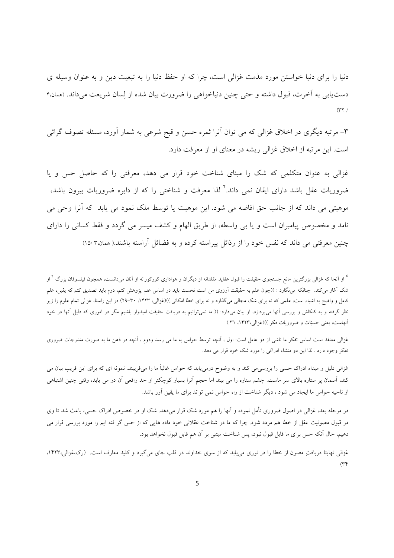دنیا را برای دنیا خواستن مورد مذمت غزالی است، چرا که او حفظ دنیا را به تبعیت دین و به عنوان وسیله ی دستLیابی به اخرت، قبول داشته و حتی چنین دنیاخواهی را ضرورت بیان شده از لِسان شریعت میداند. (همان،۴  $(177)$ 

۳– مرتبه دیگری در اخلاق غزالی که می توان آنرا ثمره حسن و قبح شرعی به شمار آورد، مسئله تصوف گرائی است. این مرتبه از اخلاق غزالی ریشه در معنای او از معرفت دارد.

غزالی به عنوان متکلمی که شک را مبنای شناخت خود قرار می دهد، معرفتی را که حاصل حس و یا ضروریات عقل باشد دارای ایقان نمی داند.<sup>۴</sup> لذا معرفت و شناختی را که از دایره ضروریات بیرون باشد، موهبتی می داند که از جانب حق افاضه می شود. این موهبت یا توسط ملک نمود می یابد که انرا وحی می نامد و مخصوص پیامبران است و یا بی واسطه، از طریق الهام و کشف میسر می گردد و فقط کسانی را دارای چنین معرفتی می داند که نفس خود را از رذائل پیراسته کرده و به فضائل آراسته باشند.( همان۳۵/ ۱۵/

<u>.</u>

غزالی معتقد است اساس تفکر ما ناشی از دو عامل است: اول ، انچه توسط حواس به ما می رسد ودوم ، انچه در ذهن ما به صورت مندرجات ضروری تفکر وجود دارد . لذا این دو منشاء ادراکی را مورد شک خود قرار می دهد.

غزالی دلیل و مبداء ادراک حسی را بررسیمی کند و به وضوح درمییابد که حواس غالباً ما را میفریبند. نمونه ای که برای این فریب بیان می کند، اسمان پر ستاره بالای سر ماست. چشم ستاره را می بیند اما حجم انرا بسیار کوچکتر از حد واقعی ان در می یابد، وقتی چنین اشتباهی از ناحیه حواس ما ایجاد می شود ، دیگر شناخت از راه حواس نمی تواند برای ما یقین اور باشد.

در مرحله بعد، غزالی در اصول ضروری تأمل نموده و آنها را هم مورد شک قرار میدهد. شک او در خصوص ادراک حسی، باعث شد تا وی در قبول مصونیت عقل از خطا هم مردد شود. چرا که ما در شناخت عقلانی خود داده هایی که از حس گر فته ایم را مورد بررسی قرار می دهیم، حال انکه حس برای ما قابل قبول نبود، پس شناخت مبتنی بر ان هم قابل قبول نخواهد بود.

<sup>ٔ</sup> از آنجا که غزالی بزرگترین مانع جستجوی حقیقت را قبول عقاید مقلدانه از دیگران و هواداری کورکورانه از آنان میدانست، همچون فیلسوفان بزرگ <sup>۴</sup> از شک اغاز میکند. چنانکه مینگارد : ((چون علم به حقیقت ارزوی من است نخست باید در اساس علم پژوهش کنم، دوم باید تصدیق کنم که یقین، علم کامل و واضح به اشیاء است، علمی که نه برای شک مجالی میگذارد و نه برای خطا امکانی.)(غزالی، ۹۲۳. ۳۰-۲۹) در این راستا، غزالی تمام علوم را زیر نظر گرفته و به کنکاش و بررسی انها میپردازد، او بیان میدارد: (( ما نمی $\,$ توانیم به دریافت حقیقت امیدوار باشیم مگر در اموری که دلیل انها در خود انهاست، یعنی حسیّات و ضروریات فکر ))(غزالی،۱۴۲۳، ۳۱ )

غزالی نهایتا دریافتِ مصون از خطا را در نوری مییابد که از سوی خداوند در قلب جای میگیرد و کلید معارف است. (رک،غزالی،۱۴۲۳،  $\alpha$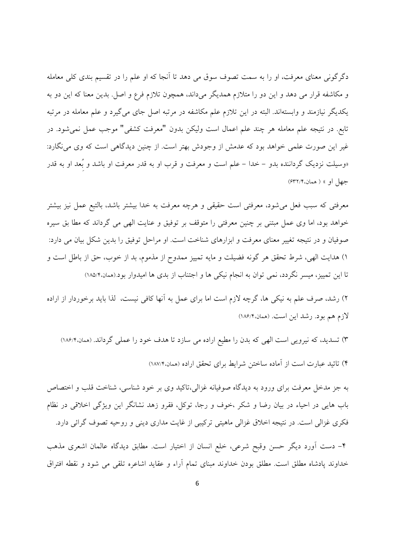دگرگونی معنای معرفت، او را به سمت تصوف سوق می دهد تا آنجا که او علم را در تقسیم بندی کلی معامله و مکاشفه قرار می دهد و این دو را متلازم همدیگر میداند، همچون تلازم فرع و اصل بدین معنا که این دو به یکدیگر نیازمند و وابستهاند. البته در این تلازم علم مکاشفه در مرتبه اصل جای می گیرد و علم معامله در مرتبه تابع. در نتیجه علم معامله هر چند علم اعمال است ولیکن بدون "معرفت کشفی" موجب عمل نمیشود. در غیر این صورت علمی خواهد بود که عدمش از وجودش بهتر است. از چنین دیدگاهی است که وی می نگارد: «وسیلت نزدیک گرداننده بدو – خدا – علم است و معرفت و قرب او به قدر معرفت او باشد و بُعد او به قدر جهل او » ( همان،۶۳۲/۴)

معرفتی که سبب فعل می شود، معرفتی است حقیقی و هرچه معرفت به خدا بیشتر باشد، بالتبع عمل نیز بیشتر خواهد بود، اما وی عمل مبتنی بر چنین معرفتی را متوقف بر توفیق و عنایت الهی می گرداند که مطا بق سیره صوفیان و در نتیجه تغییر معنای معرفت و ابزارهای شناخت است. او مراحل توفیق را بدین شکل بیان می دارد: ۱) هدایت الهی، شرط تحقق هر گونه فضیلت و مایه تمییز ممدوح از مذموم، بد از خوب، حق از باطل است و تا این تمییز، میسر نگردد، نمی توان به انجام نیکی ها و اجتناب از بدی ها امیدوار بود.(همان.۱۸۵/۴)

۲) رشد، صرف علم به نیکی ها، گرچه لازم است اما برای عمل به آنها کافی نیست، لذا باید برخوردار از اراده لازم هم بود. رشد این است. (همان،۱۸۶/۴)

۳) تسدید، که نیرویی است الهی که بدن را مطیع اراده می سازد تا هدف خود را عملی گرداند. (همان،۱۸۶/۴) ۴) تائید عبارت است از آماده ساختن شرایط برای تحقق اراده (همان،۱۸۷/۴)

به جز مدخل معرفت برای ورود به دیدگاه صوفیانه غزالی،تاکید وی بر خود شناسی، شناخت قلب و اختصاص باب هایی در احیاء در بیان رضا و شکر ،خوف و رجا، توکل، فقرو زهد نشانگر این ویژگی اخلاقی در نظام فکری غزالی است. در نتیجه اخلاق غزالی ماهیتی ترکیبی از غایت مداری دینی و روحیه تصوف گرائی دارد.

۴– دست آورد دیگر حسن وقبح شرعی، خلع انسان از اختیار است. مطابق دیدگاه عالمان اشعری مذهب خداوند پادشاه مطلق است. مطلق بودن خداوند مبناى تمام آراء و عقايد اشاعره تلقى مى شود و نقطه افتراق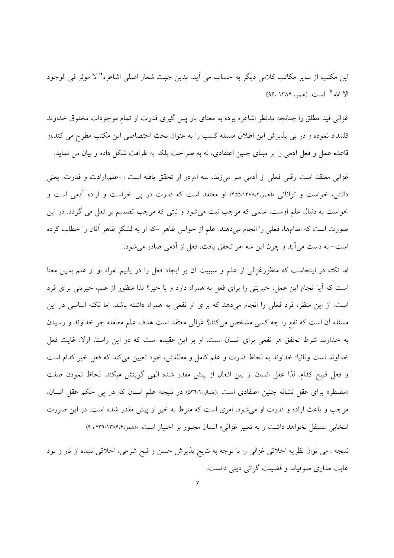اين مكتب از ساير مكاتب كلامي ديگر به حساب مي آيد. بدين جهت شعار اصلي اشاعره" لا موثر في الوجود الا الله" است. (همو، ١٣٨٤، ٩۶)

غزالی قید مطلق را چنانچه مدنظر اشاعره بوده به معنای باز پس گیری قدرت از تمام موجودات مخلوق خداوند قلمداد نموده و در یی پذیرش این اطلاق مسئله کسب را به عنوان بحث اختصاصی این مکتب مطرح می کند.او قاعده عمل و فعل آدمی را بر مبنای چنین اعتقادی، نه به صراحت بلکه به ظرافت شکل داده و بیان می نماید.

غزالی معتقد است وقتی فعلی از آدمی سر میزند، سه امردر او تحقق یافته است : «علم،ارادت و قدرت. یعنی دانش، خواست و توانائی »(همو،۱۳۷۸،۲۵۵/۱۳۷۸) او معتقد است که قدرت در یی خواست و اراده آدمی است و خواست به دنبال علم اوست. علمی که موجب نیت می شود و نیتی که موجب تصمیم بر فعل می گردد. در این صورت است که اندامها، فعلی را انجام می دهند. علم از حواس ظاهر –که او به لشکر ظاهر آنان را خطاب کرده است- به دست می آید و چون این سه امر تحقق یافت، فعل از آدمی صادر می شود.

اما نکته در اینجاست که منظورغزالی از علم و سببیت آن بر ایجاد فعل را در یابیم. مراد او از علم بدین معنا است که آیا انجام این عمل، خیریتی را برای فعل به همراه دارد و یا خیر؟ لذا منظور از علم، خیریتی برای فرد است. از این منظر، فرد فعلی را انجام میدهد که برای او نفعی به همراه داشته باشد. اما نکته اساسی در این مسئله أن است كه نفع را چه كسبي مشخص مي كند؟ غزالي معتقد است هدف علم معامله جز خداوند و رسيدن به خداوند شرط تحقق هر نفعی برای انسان است. او بر این عقیده است که در این راستا، اولا: غایت فعل خداوند است وثانيا: خداوند به لحاظ قدرت و علم كامل و مطلقش، خود تعيين مي كند كه فعل خير كدام است و فعل قبيح كدام. لذا عقل انسان از بين افعال از پيش مقدر شده الهي گزينش ميكند. لحاظ نمودن صفت «مضطر» برای عقل نشانه چنین اعتقادی است .(همان،٥٣٤/٢) در نتیجه علم انسان که در پی حکم عقل انسان، موجب و باعث اراده و قدرت او می شود، امری است که منوط به خیر از پیش مقدر شده است. در این صورت انتخابی مستقل نخواهد داشت و به تعبیر غزالی« انسان مجبور بر اختیار است. »(همو،۳۹/۱۳۸۶،۴ و۹)

نتيجه : مي توان نظريه اخلاقي غزالي را با توجه به نتايج پذيرش حسن و قبح شرعي، اخلاقي تنيده از تار و پود غايت مداري صوفيانه و فضيلت گرائي ديني دانست.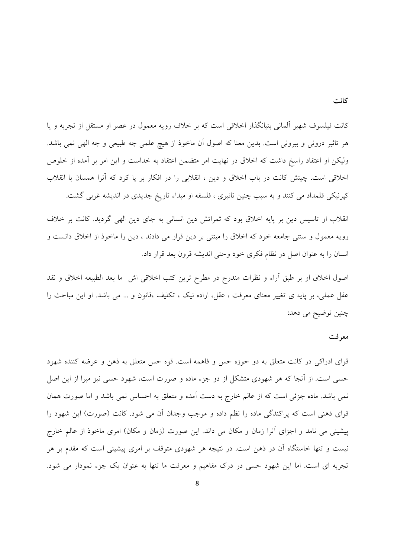کانت فیلسوف شهیر آلمانی بنیانگذار اخلاقی است که بر خلاف رویه معمول در عصر او مستقل از تجربه و یا هر تاثیر درونی و بیرونی است. بدین معنا که اصول آن ماخوذ از هیچ علمی چه طبیعی و چه الهی نمی باشد. ولیکن او اعتقاد راسخ داشت که اخلاق در نهایت امر متضمن اعتقاد به خداست و این امر بر آمده از خلوص اخلاقی است. چینش کانت در باب اخلاق و دین ، انقلابی را در افکار بر یا کرد که آنرا همسان با انقلاب کپرنیکی قلمداد می کنند و به سبب چنین تاثیری ، فلسفه او مبداء تاریخ جدیدی در اندیشه غربی گشت.

انقلاب او تاسیس دین بر پایه اخلاق بود که ثمراتش دین انسانی به جای دین الهی گردید. کانت بر خلاف رویه معمول و سنتی جامعه خود که اخلاق را مبتنی بر دین قرار می دادند ، دین را ماخوذ از اخلاق دانست و انسان را به عنوان اصل در نظام فکری خود وحتی اندیشه قرون بعد قرار داد.

اصول اخلاق او بر طبق أراء و نظرات مندرج در مطرح ترين كتب اخلاقي اش ما بعد الطبيعه اخلاق و نقد عقل عملی، بر پایه ی تغییر معنای معرفت ، عقل، اراده نیک ، تکلیف ،قانون و … می باشد. او این مباحث را چنين توضيح مي دهد:

### معرفت

قوای ادراکی در کانت متعلق به دو حوزه حس و فاهمه است. قوه حس متعلق به ذهن و عرضه کننده شهود حسی است. از آنجا که هر شهودی متشکل از دو جزء ماده و صورت است، شهود حسی نیز مبرا از این اصل نمی باشد. ماده جزئی است که از عالم خارج به دست آمده و متعلق به احساس نمی باشد و اما صورت همان قوای ذهنی است که پراکندگی ماده را نظم داده و موجب وجدان آن می شود. کانت (صورت) این شهود را پیشینی می نامد و اجزای آنرا زمان و مکان می داند. این صورت (زمان و مکان) امری ماخوذ از عالم خارج نیست و تنها خاستگاه آن در ذهن است. در نتیجه هر شهودی متوقف بر امری پیشینی است که مقدم بر هر تجربه ای است. اما این شهود حسی در درک مفاهیم و معرفت ما تنها به عنوان یک جزء نمودار می شود.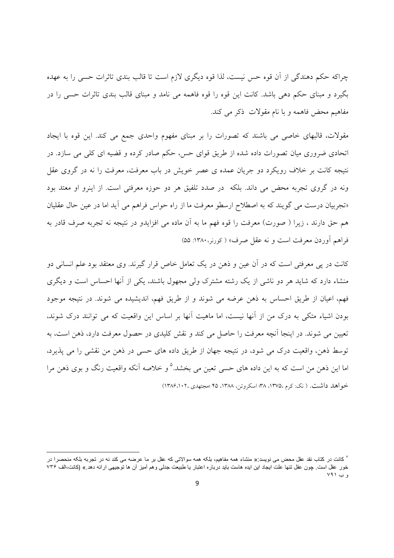چراکه حکم دهندگی از آن قوه حس نیست، لذا قوه دیگری لازم است تا قالب بندی تاثرات حسی را به عهده بگیرد و مبنای حکم دهی باشد. کانت این قوه را قوه فاهمه می نامد و مبنای قالب بندی تاثرات حسی را در مفاهيم محض فاهمه و با نام مقولات ذكر مى كند.

مقولات، قالبهای خاصی می باشند که تصورات را بر مبنای مفهوم واحدی جمع می کند. این قوه با ایجاد اتحادی ضروری میان تصورات داده شده از طریق قوای حس، حکم صادر کرده و قضیه ای کلی می سازد. در نتیجه کانت بر خلاف رویکرد دو جریان عمده ی عصر خویش در باب معرفت، معرفت را نه در گروی عقل ونه در گروی تجربه محض می داند. بلکه ً در صدد تلفیق هر دو حوزه معرفتی است. از اینرو او معتد بود «تجربیان درست می گویند که به اصطلاح ارسطو معرفت ما از راه حواس فراهم می آید اما در عین حال عقلیان هم حق دارند ، زیرا ( صورت) معرفت را قوه فهم ما به آن ماده می افزایدو در نتیجه نه تجربه صرف قادر به فراهم أوردن معرفت است و نه عقل صرف» ( کورنر، ۱۳۸۰: ۵۵)

کانت در یے معرفتی است که در آن عین و ذهن در یک تعامل خاص قرار گیرند. وی معتقد بود علم انسانی دو منشاء دارد که شاید هر دو ناشی از یک رشته مشترک ولی مجهول باشند، یکی از آنها احساس است و دیگری فهم، اعیان از طریق احساس به ذهن عرضه می شوند و از طریق فهم، اندیشیده می شوند. در نتیجه موجود بودن اشیاء متکی به درک من از آنها نیست، اما ماهیت آنها بر اساس این واقعیت که می توانند درک شوند، تعیین می شوند. در اینجا آنچه معرفت را حاصل می کند و نقش کلیدی در حصول معرفت دارد، ذهن است، به توسط ذهن، واقعیت درک می شود، در نتیجه جهان از طریق داده های حسی در ذهن من نقشی را می پذیرد، اما این ذهن من است که به این داده های حسی تعین می بخشد.<sup>۵</sup> و خلاصه آنکه واقعیت رنگ و بوی ذهن مرا خواهد داشت. ( نک: کرم ،۱۳۷۵، ۳۸؛ اسکروتن، ۱۳۸۸، ۴۵ ؛مجتهدی ،۱۳۸۶،۱۰۲)

<sup>°</sup> کانت در کتاب نقد عقل محض می نویسد:« منشاء همه مفاهیم، بلکه همه سوالاتی که عقل بر ما عرضه می کند نه در تجربه بلکه منحصرا در خور عقل است. چون عقل تنها علت ايجاد اين ايده هاست بايد درباره اعتبار يا طبيعت جدلى وهم أميز أن ها توجيهى ارائه دهد.» (كانت،الف ٧٣۶ و ب ۷۹۱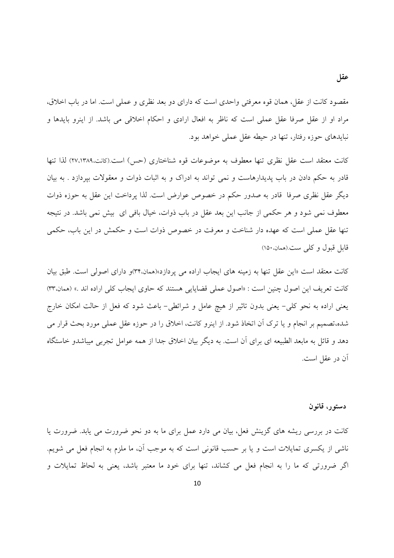مقصود کانت از عقل، همان قوه معرفتی واحدی است که دارای دو بعد نظری و عملی است. اما در باب اخلاق، مراد او از عقل صرفا عقل عملی است که ناظر به افعال ارادی و احکام اخلاقی می باشد. از اینرو بایدها و نبایدهای حوزه رفتار، تنها در حیطه عقل عملی خواهد بود.

كانت معتقد است عقل نظري تنها معطوف به موضوعات قوه شناختاري (حس) است.(كانت،٢٧،١٣٨٩) لذا تنها قادر به حکم دادن در باب پدیدارهاست و نمی تواند به ادراک و به اثبات ذوات و معقولات بیردازد . به بیان دیگر عقل نظری صرفا ً قادر به صدور حکم در خصوص عوارض است. لذا پرداخت این عقل به حوزه ذوات معطوف نمی شود و هر حکمی از جانب این بعد عقل در باب ذوات، خیال بافی ای بیش نمی باشد. در نتیجه تنها عقل عملی است که عهده دار شناخت و معرفت در خصوص ذوات است و حکمش در این باب، حکمی قابل قبول وكلي ست (همان،١٥٠)

کانت معتقد است «این عقل تنها به زمینه های ایجاب اراده می یردازد»(همان،۳۴)و دارای اصولی است. طبق بیان کانت تعریف این اصول چنین است : «اصول عملی قضایایی هستند که حاوی ایجاب کلی اراده اند .» (همان،۳۳) یعنی اراده به نحو کلی– یعنی بدون تاثیر از هیچ عامل و شرائطی– باعث شود که فعل از حالت امکان خارج شده،تصمیم بر انجام و یا ترک آن اتخاذ شود. از اینرو کانت، اخلاق را در حوزه عقل عملی مورد بحث قرار می دهد و قائل به مابعد الطبیعه ای برای آن است. به دیگر بیان اخلاق جدا از همه عوامل تجربی میباشدو خاستگاه أن در عقل است.

### دستور، قانون

کانت در بررسی ریشه های گزینش فعل، بیان می دارد عمل برای ما به دو نحو ضرورت می یابد. ضرورت یا ناشی از یکسری تمایلات است و یا بر حسب قانونی است که به موجب آن، ما ملزم به انجام فعل می شویم. اگر ضرورتی که ما را به انجام فعل می کشاند، تنها برای خود ما معتبر باشد، یعنی به لحاظ تمایلات و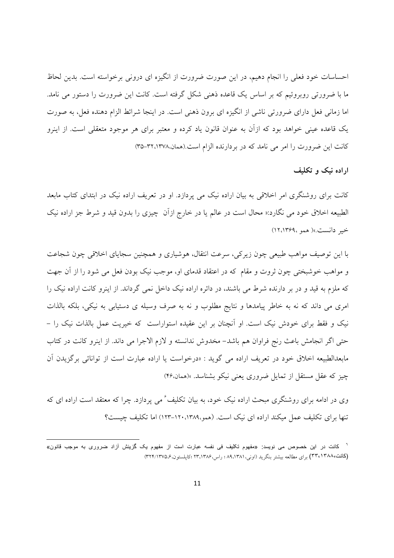احساسات خود فعلی را انجام دهیم، در این صورت ضرورت از انگیزه ای درونی برخواسته است. بدین لحاظ ما با ضرورتی روبروئیم که بر اساس یک قاعده ذهنی شکل گرفته است. کانت این ضرورت را دستور می نامد. اما زمانی فعل دارای ضرورتی ناشی از انگیزه ای برون ذهنی است. در اینجا شرائط الزام دهنده فعل، به صورت یک قاعده عینی خواهد بود که ازآن به عنوان قانون یاد کرده و معتبر برای هر موجود متعقلی است. از اینرو کانت این ضرورت را امر می نامد که در بردارنده الزام است.(همان،۳۲،۱۳۷۸-۳۵)

اراده نیک و تکلیف

کانت برای روشنگری امر اخلاقی به بیان اراده نیک می پردازد. او در تعریف اراده نیک در ابتدای کتاب مابعد الطبیعه اخلاق خود می نگارد:« محال است در عالم یا در خارج ازاّن چیزی را بدون قید و شرط جز اراده نیک خير دانست.» (همو ١٢،١٣۶٩)

با این توصیف مواهب طبیعی چون زیرکی، سرعت انتقال، هوشیاری و همچنین سجایای اخلاقی چون شجاعت و مواهب خوشبختی چون ثروت و مقام که در اعتقاد قدمای او، موجب نیک بودن فعل می شود را از آن جهت که ملزم به قید و در بر دارنده شرط می باشند، در دائره اراده نیک داخل نمی گرداند. از اینرو کانت اراده نیک را امری می داند که نه به خاطر پیامدها و نتایج مطلوب و نه به صرف وسیله ی دستیابی به نیکی، بلکه بالذات نیک و فقط برای خودش نیک است. او آنچنان بر این عقیده استواراست که خیریت عمل بالذات نیک را – حتى اگر انجامش باعث رنج فراوان هم باشد- مخدوش ندانسته و لازم الاجرا مى داند. از اينرو كانت در كتاب مابعدالطبیعه اخلاق خود در تعریف اراده می گوید : «درخواست یا اراده عبارت است از توانائی برگزیدن آن چیز که عقل مستقل از تمایل ضروری یعنی نیکو بشناسد. »(همان،۴۶)

وی در ادامه برای روشنگری مبحث اراده نیک خود، به بیان تکلیف ٔ می پردازد. چرا که معتقد است اراده ای که تنها برای تکلیف عمل میکند اراده ای نیک است. (همو،۱۳۸۹،۱۳۰۰-۱۲۳) اما تکلیف چیست؟

کانت در این خصوص می نویسد: «مفهوم تکلیف فی نفسه عبارت است از مفهوم یک گزینش آزاد ضروری به موجب قانون» (کانت،۱۳۸۸،۱۳۸۸) برای مطالعه بیشتر بنگرید (اونی،۸۹،۱۳۸۱؛ راس،۱۳،۱۳۸۶؛ کاپلستون،۱۳۷۵/۶۳۲)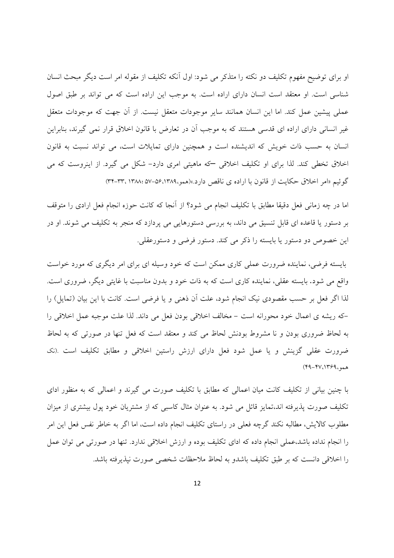او برای توضیح مفهوم تکلیف دو نکته را متذکر می شود: اول آنکه تکلیف از مقوله امر است دیگر مبحث انسان شناسی است. او معتقد است انسان دارای اراده است. به موجب این اراده است که می تواند بر طبق اصول عملي پيشين عمل كند. اما اين انسان همانند ساير موجودات متعقل نيست. از آن جهت كه موجودات متعقل غیر انسانی دارای اراده ای قدسی هستند که به موجب آن در تعارض با قانون اخلاق قرار نمی گیرند، بنابراین انسان به حسب ذات خویش که اندیشنده است و همچنین دارای تمایلات است، می تواند نسبت به قانون اخلاق تخطی کند. لذا برای او تکلیف اخلاقی که ماهیتی امری دارد- شکل می گیرد. از اینروست که می گوئیم «امر اخلاق حکایت از قانون با اراده ی ناقص دارد.»(همو،۵۶،۱۳۸۹،۵۷-۵۷، ۳۳-۳۳، ۳۳

اما در چه زمانی فعل دقیقا مطابق با تکلیف انجام می شود؟ از آنجا که کانت حوزه انجام فعل ارادی را متوقف بر دستور یا قاعده ای قابل تنسیق می داند، به بررسی دستورهایی می پردازد که منجر به تکلیف می شوند. او در اين خصوص دو دستور يا بايسته را ذكر مي كند. دستور فرضي و دستورعقلي.

بایسته فرضی، نماینده ضرورت عملی کاری ممکن است که خود وسیله ای برای امر دیگری که مورد خواست واقع می شود. بایسته عقلی، نماینده کاری است که به ذات خود و بدون مناسبت با غایتی دیگر، ضروری است. لذا اگر فعل بر حسب مقصودی نیک انجام شود، علت آن ذهنی و یا فرضی است. کانت با این بیان (تمایل) را -که ریشه ی اعمال خود محورانه است - مخالف اخلاقی بودن فعل می داند. لذا علت موجبه عمل اخلاقی را به لحاظ ضروری بودن و نا مشروط بودنش لحاظ می کند و معتقد است که فعل تنها در صورتی که به لحاظ ضرورت عقلی گزینش و یا عمل شود فعل دارای ارزش راستین اخلاقی و مطابق تکلیف است .(نک  $(49 - 44)(1799)$ 

با چنین بیانی از تکلیف کانت میان اعمالی که مطابق با تکلیف صورت می گیرند و اعمالی که به منظور ادای تکلیف صورت پذیرفته اند،تمایز قائل می شود. به عنوان مثال کاسبی که از مشتریان خود یول بیشتری از میزان مطلوب کالایش، مطالبه نکند گرچه فعلی در راستای تکلیف انجام داده است، اما اگر به خاطر نفس فعل این امر را انجام نداده باشد،عملی انجام داده که ادای تکلیف بوده و ارزش اخلاقی ندارد. تنها در صورتی می توان عمل را اخلاقی دانست که بر طبق تکلیف باشدو به لحاظ ملاحظات شخصی صورت نیذیرفته باشد.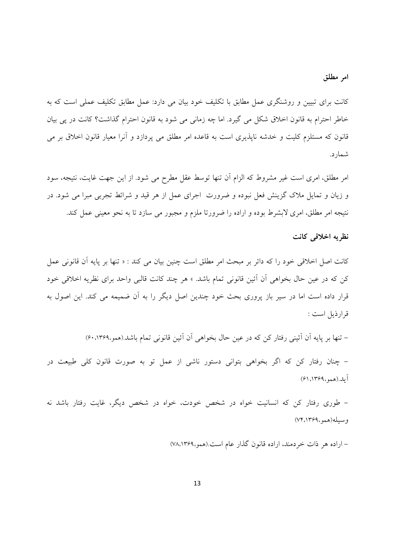## امر مطلق

کانت برای تبیین و روشنگری عمل مطابق با تکلیف خود بیان می دارد: عمل مطابق تکلیف عملی است که به خاطر احترام به قانون اخلاق شکل می گیرد. اما چه زمانی می شود به قانون احترام گذاشت؟ کانت در پی بیان قانون که مستلزم کلیت و خدشه ناپذیری است به قاعده امر مطلق می یردازد و آنرا معیار قانون اخلاق بر می شمار د.

امر مطلق، امری است غیر مشروط که الزام اَن تنها توسط عقل مطرح می شود. از این جهت غایت، نتیجه، سود و زیان و تمایل ملاک گزینش فعل نبوده و ضرورت اجرای عمل از هر قید و شرائط تجربی مبرا می شود. در نتيجه امر مطلق، امري لابشرط بوده و اراده را ضرورتا ملزم و مجبور مي سازد تا به نحو معيني عمل كند.

### نظريه اخلاقى كانت

کانت اصل اخلاقی خود را که دائر بر مبحث امر مطلق است چنین بیان می کند : « تنها بر پایه آن قانونی عمل کن که در عین حال بخواهی آن آئین قانونی تمام باشد. » هر چند کانت قالبی واحد برای نظریه اخلاقی خود قرار داده است اما در سیر باز پروری بحث خود چندین اصل دیگر را به آن ضمیمه می کند. این اصول به قرارذيل است :

– تنها بر پایه آن آئینی رفتار کن که در عین حال بخواهی آن آئین قانونی تمام باشد.(همو،۰،۱۳۶۹)

– چنان رفتار کن که اگر بخواهی بتوانی دستور ناشی از عمل تو به صورت قانون کلی طبیعت در آيله.(همو،١٣۶٩، ۶۱)

– طوری رفتار کن که انسانیت خواه در شخص خودت، خواه در شخص دیگر، غایت رفتار باشد نه وسيله(همو،١٣۶٩، ٧۴)

– اراده هر ذات خردمند، اراده قانون گذار عام است.(همو،۱۳۶۹،۷۸)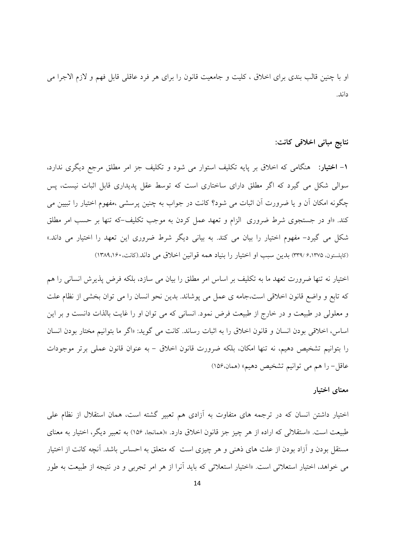او با چنین قالب بندی برای اخلاق ، کلیت و جامعیت قانون را برای هر فرد عاقلی قابل فهم و لازم الاجرا می داند.

نتايج مباني اخلاقي كانت:

**۱– اختیار**: هنگامی که اخلاق بر پایه تکلیف استوار می شود و تکلیف جز امر مطلق مرجع دیگری ندارد، سوالی شکل می گیرد که اگر مطلق دارای ساختاری است که توسط عقل پدیداری قابل اثبات نیست، پس چگونه امکان اّن و یا ضرورت اّن اثبات می شود؟ کانت در جواب به چنین پرسشی ،مفهوم اختیار را تبیین می کند. «او در جستجوی شرط ضروری الزام و تعهد عمل کردن به موجب تکلیف-که تنها بر حسب امر مطلق شکل می گیرد- مفهوم اختیار را بیان می کند. به بیانی دیگر شرط ضروری این تعهد را اختیار می داند.» (کاپلستون، ۳۳۹/۶،۱۳۷۵) بدین سبب او اختیار را بنیاد همه قوانین اخلاق می داند.(کانت، ۱۳۸۹،۱۶۰)

اختیار نه تنها ضرورت تعهد ما به تکلیف بر اساس امر مطلق را بیان می سازد، بلکه فرض پذیرش انسانی را هم که تابع و واضع قانون اخلاقی است،جامه ی عمل می پوشاند. بدین نحو انسان را می توان بخشی از نظام علت و معلولی در طبیعت و در خارج از طبیعت فرض نمود. انسانی که می توان او را غایت بالذات دانست و بر این اساس، اخلاقی بودن انسان و قانون اخلاق را به اثبات رساند. کانت می گوید: «اگر ما بتوانیم مختار بودن انسان را بتوانيم تشخيص دهيم، نه تنها امكان، بلكه ضرورت قانون اخلاق – به عنوان قانون عملي برتر موجودات عاقل- را هم مي توانيم تشخيص دهيم» (همان،١٥۶)

#### معناى اختيار

اختیار داشتن انسان که در ترجمه های متفاوت به آزادی هم تعبیر گشته است، همان استقلال از نظام علی طبیعت است. «استقلالی که اراده از هر چیز جز قانون اخلاق دارد. »(همانجا، ۱۵۶) به تعبیر دیگر، اختیار به معنای مستقل بودن و آزاد بودن از علت های ذهنی و هر چیزی است که متعلق به احساس باشد. آنچه کانت از اختیار می خواهد، اختیار استعلائی است. «اختیار استعلائی که باید آنرا از هر امر تجربی و در نتیجه از طبیعت به طور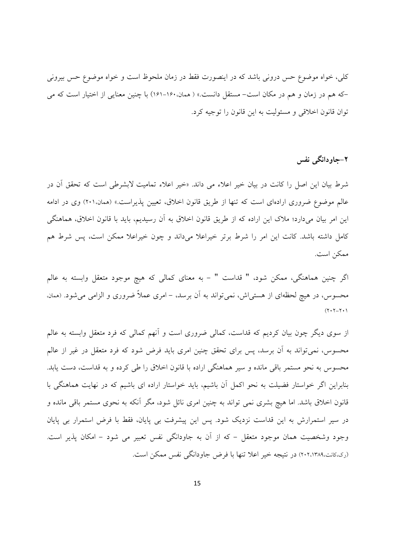کلی، خواه موضوع حس درونی باشد که در اینصورت فقط در زمان ملحوظ است و خواه موضوع حس بیرونی –که هم در زمان و هم در مکان است– مستقل دانست.» ( همان.۱۶۰–۱۶۱) با چنین معنایی از اختیار است که می توان قانون اخلاقی و مسئولیت به این قانون را توجیه کرد.

# **۲–جاودانگی نفس**

شرط بیان این اصل را کانت در بیان خیر اعلاء می داند. «خیر اعلاء تمامیت لابشرطی است که تحقق ان در عالم موضوع ضروری ارادهای است که تنها از طریق قانون اخلاق، تعیین پذیراست.» (همان.۲۰۱) وی در ادامه این امر بیان میدارد؛ ملاک این اراده که از طریق قانون اخلاق به آن رسیدیم، باید با قانون اخلاق، هماهنگی کامل داشته باشد. کانت این امر را شرط برتر خیراعلا میداند و چون خیراعلا ممکن است، پس شرط هم ممكن است.

اگر چنین هماهنگی، ممکن شود، " قداست " – به معنای کمالی که هیچ موجود متعقل وابسته به عالم محسوس، در هیچ لحظهای از هستی!ش، نمیٍتواند به آن برسد، – امری عملاً ضروری و الزامی می شود. (همان،  $(Y \cdot Y - Y \cdot Y)$ 

از سوی دیگر چون بیان کردیم که قداست، کمالی ضروری است و انهم کمالی که فرد متعقل وابسته به عالم محسوس، نمیٍتواند به أن برسد، پس برای تحقق چنین امری باید فرض شود که فرد متعقل در غیر از عالم محسوس به نحو مستمر باقی مانده و سیر هماهنگی اراده با قانون اخلاق را طی کرده و به قداست، دست یابد. بنابراین اگر خواستار فضیلت به نحو اکمل ان باشیم، باید خواستار اراده ای باشیم که در نهایت هماهنگی با قانون اخلاق باشد. اما هیچ بشری نمی تواند به چنین امری نائل شود، مگر آنکه به نحوی مستمر باقی مانده و در سیر استمرارش به این قداست نزدیک شود. پس این پیشرفت بی پایان، فقط با فرض استمرار بی پایان وجود وشخصیت همان موجود متعقل – که از ان به جاودانگی نفس تعبیر می شود – امکان پذیر است. (ری،کانت،۲۰۲،۱۳۸۹) در نتیجه خیر اعلا تنها با فرض جاودانگی نفس ممکن است.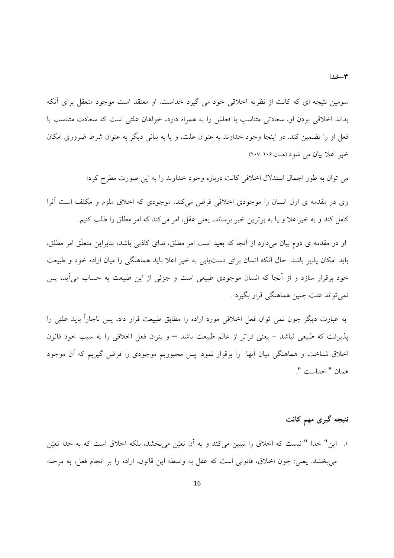سومین نتیجه ای که کانت از نظریه اخلاقی خود می گیرد خداست. او معتقد است موجود متعقل برای آنکه بداند اخلاقی بودن او، سعادتی متناسب با فعلش را به همراه دارد، خواهان علتی است که سعادت متناسب با فعل او را تضمین کند. در اینجا وجود خداوند به عنوان علت، و یا به بیانی دیگر به عنوان شرط ضروری امکان خبر اعلا بيان مي شود(همان،۲۰۶-۲۰۷)

می توان به طور اجمال استدلال اخلاقی کانت درباره وجود خداوند را به این صورت مطرح کرد:

وی در مقدمه ی اول انسان را موجودی اخلاقی فرض میکند. موجودی که اخلاق ملزم و مکلف است آنرا کامل کند و به خیراعلا و یا به برترین خیر برساند، یعنی عقل، امر میکند که امر مطلق را طلب کنیم.

او در مقدمه ی دوم بیان می دارد از آنجا که بعید است امر مطلق، ندای کاذبی باشد، بنابراین متعلّق امر مطلق، باید امکان پذیر باشد. حال آنکه انسان برای دست یابی به خیر اعلا باید هماهنگی را میان اراده خود و طبیعت خود برقرار سازد و از آنجا که انسان موجودی طبیعی است و جزئی از این طبیعت به حساب می آید، پس نمي تواند علت چنين هماهنگي قرار بگيرد .

به عبارت دیگر چون نمی توان فعل اخلاقی مورد اراده را مطابق طبیعت قرار داد، پس ناچاراً باید علتی را یذیرفت که طبیعی نباشد – یعنی فراتر از عالم طبیعت باشد – و بتوان فعل اخلاقی را به سبب خود قانون اخلاق شناخت و هماهنگی میان آنها ً را برقرار نمود. پس مجبوریم موجودی را فرض گیریم که آن موجود همان " خداست ".

# نتیجه گیری مهم کانت

١. اين" خدا " نيست كه اخلاق را تبيين ميكند و به أن تعيّن ميبخشد، بلكه اخلاق است كه به خدا تعيّن مي بخشد. يعني: چون اخلاق، قانوني است كه عقل به واسطه اين قانون، اراده را بر انجام فعل، به مرحله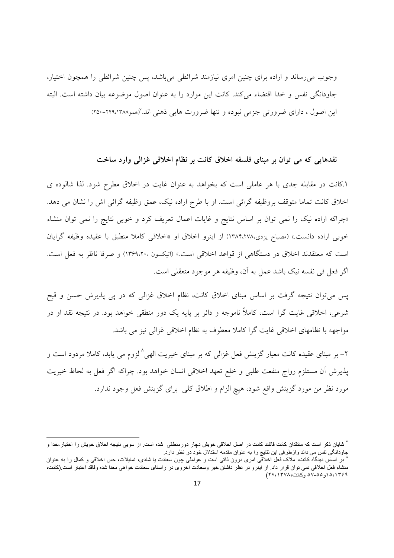وجوب می رساند و اراده برای چنین امری نیازمند شرائطی می باشد، پس چنین شرائطی را همچون اختیار، جاودانگی نفس و خدا اقتضاء می کند. کانت این موارد را به عنوان اصول موضوعه بیان داشته است. البته این اصول ، دارای ضرورتی جزمی نبوده و تنها ضرورت هایی ذهنی اند. «ممو۲۴۹،۱۳۸۸-۲۵۰)

## نقدهایی که می توان بر مبنای فلسفه اخلاق کانت بر نظام اخلاقی غزالی وارد ساخت

۱.کانت در مقابله جدی با هر عاملی است که بخواهد به عنوان غایت در اخلاق مطرح شود. لذا شالوده ی اخلاق کانت تماما متوقف بروظیفه گرائی است. او با طرح اراده نیک، عمق وظیفه گرائی اش را نشان می دهد. «چراکه اراده نیک را نمی توان بر اساس نتایج و غایات اعمال تعریف کرد و خوبی نتایج را نمی توان منشاء خوبي اراده دانست.» (مصباح يزدي،١٣٨٤.٢٧٨) از اينرو اخلاق او «اخلاقي كاملا منطبق با عقيده وظيفه گرايان است که معتقدند اخلاق در دستگاهی از قواعد اخلاقی است.» (اتیکسون ۱۳۶۹،۲۰۰) و صرفا ناظر به فعل است. اگر فعل في نفسه نيک باشد عمل به آن، وظيفه هر موجود متعقلي است.

یس می توان نتیجه گرفت بر اساس مبنای اخلاق کانت، نظام اخلاق غزالی که در پی پذیرش حسن و قبح شرعی، اخلاقی غایت گرا است، کاملاً ناموجه و دائر بر پایه یک دور منطقی خواهد بود. در نتیجه نقد او در مواجهه با نظامهای اخلاقی غایت گرا کاملا معطوف به نظام اخلاقی غزالی نیز می باشد.

۲– بر مبنای عقیده کانت معیار گزینش فعل غزالی که بر مبنای خیریت الهی^ لزوم می یابد، کاملا مردود است و پذیرش أن مستلزم رواج منفعت طلبی و خلع تعهد اخلاقی انسان خواهد بود. چراکه اگر فعل به لحاظ خیریت مورد نظر من مورد گزینش واقع شود، هیچ الزام و اطلاق کلبی برای گزینش فعل وجود ندارد.

<sup>&</sup>lt;sup>√</sup> شایان ذکر است که منتقدان کانت قائلند کانت در اصل اخلاقی خویش دچار دورمنطقی شده است. از سویی نتیجه اخلاق خویش را اختیار،خدا و جاودانگی نفس می داند وازطرفی این نتایج را به عنوان مقدمه استدلال خود در نظر دارد.

بر اساس دیدگاه کانت، ملاک فعل اخلاقی امری درون ذاتی است و عواملی چون سعادت یا شادی، تمایلات، حس اخلاقی و کمال را به عنوان منشاء فعل اخلاقی نمی توان قرار داد. از اینرو در نظر داشتن خیر وسعادت اخروی در راستای سعادت خواهی معنا شده وفاقد اعتبار است (کانت، ٥،١٣٤٩ه (و٥۵-٥٧ وكانت،١٣٧٨)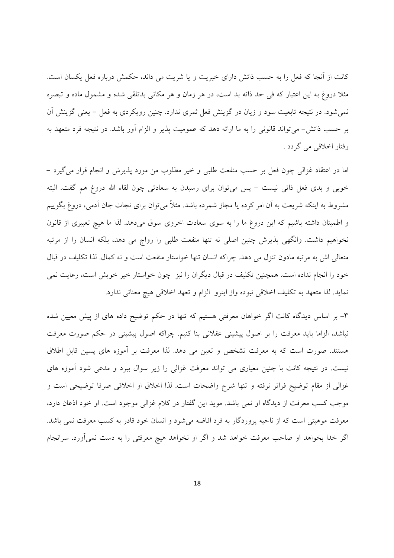کانت از اّنجا که فعل را به حسب ذاتش دارای خیریت و یا شریت می داند، حکمش درباره فعل یکسان است. مثلاً دروغ به این اعتبار که فی حد ذاته بد است، در هر زمان و هر مکانی بدتلقی شده و مشمول ماده و تبصره نمی شود. در نتیجه تابعیت سود و زیان در گزینش فعل ثمری ندارد. چنین رویکردی به فعل – یعنی گزینش اَن بر حسب ذاتش- می تواند قانونی را به ما ارائه دهد که عمومیت پذیر و الزام آور باشد. در نتیجه فرد متعهد به رفتار اخلاقی می گردد .

اما در اعتقاد غزالي چون فعل بر حسب منفعت طلبي و خير مطلوب من مورد پذيرش و انجام قرار مي گيرد – خوبی و بدی فعل ذاتی نیست – پس می توان برای رسیدن به سعادتی چون لقاء الله دروغ هم گفت. البته مشروط به اینکه شریعت به آن امر کرده یا مجاز شمرده باشد. مثلاً می توان برای نجات جان آدمی، دروغ بگوییم و اطمینان داشته باشیم که این دروغ ما را به سوی سعادت اخروی سوق میدهد. لذا ما هیچ تعبیری از قانون نخواهیم داشت. وانگهی پذیرش چنین اصلی نه تنها منفعت طلبی را رواج می دهد، بلکه انسان را از مرتبه متعالی اش به مرتبه مادون تنزل می دهد. چراکه انسان تنها خواستار منفعت است و نه کمال. لذا تکلیف در قبال خود را انجام نداده است. همچنین تکلیف در قبال دیگران را نیز چون خواستار خیر خویش است، رعایت نمی نمايد. لذا متعهد به تكليف اخلاقي نبوده واز اينرو الزام و تعهد اخلاقي هيچ معنائي ندارد.

۳– بر اساس دیدگاه کانت اگر خواهان معرفتی هستیم که تنها در حکم توضیح داده های از پیش معیین شده نباشد، الزاما باید معرفت را بر اصول پیشینی عقلانی بنا کنیم. چراکه اصول پیشینی در حکم صورت معرفت هستند. صورت است که به معرفت تشخص و تعین می دهد. لذا معرفت بر آموزه های پسین قابل اطلاق نیست. در نتیجه کانت با چنین معیاری می تواند معرفت غزالی را زیر سوال ببرد و مدعی شود آموزه های غزالی از مقام توضیح فراتر نرفته و تنها شرح واضحات است. لذا اخلاق او اخلاقی صرفا توضیحی است و موجب کسب معرفت از دیدگاه او نمی باشد. موید این گفتار در کلام غزالی موجود است. او خود اذعان دارد، معرفت موهبتی است که از ناحیه پروردگار به فرد افاضه میشود و انسان خود قادر به کسب معرفت نمی باشد. اگر خدا بخواهد او صاحب معرفت خواهد شد و اگر او نخواهد هیچ معرفتی را به دست نمی آورد. سرانجام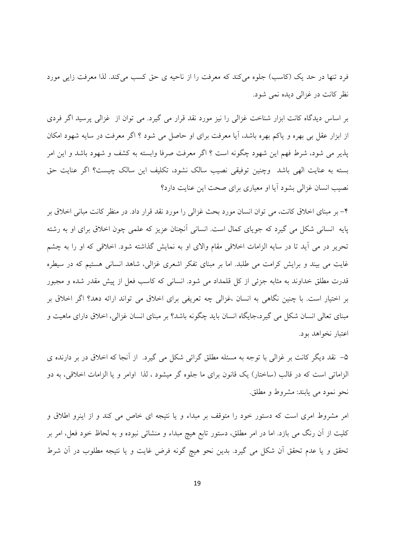فرد تنها در حد یک (کاسب) جلوه می کند که معرفت را از ناحیه ی حق کسب می کند. لذا معرفت زایی مورد نظر کانت در غزالي ديده نمي شود.

بر اساس دیدگاه کانت ابزار شناخت غزالی را نیز مورد نقد قرار می گیرد. می توان از غزالی پرسید اگر فردی از ابزار عقل بي بهره و ياكم بهره باشد، آيا معرفت براي او حاصل مي شود ؟ اگر معرفت در سايه شهود امكان يذير مي شود، شرط فهم اين شهود چگونه است ؟ اگر معرفت صرفا وابسته به كشف و شهود باشد و اين امر بسته به عنايت الهي باشد وچنين توفيقي نصيب سالک نشود، تکليف اين سالک چيست؟ اگر عنايت حق نصیب انسان غزالی بشود آیا او معیاری برای صحت این عنایت دارد؟

۴– بر مبنای اخلاق کانت، می توان انسان مورد بحث غزالی را مورد نقد قرار داد. در منظر کانت مبانی اخلاق بر پایه ِ انسانی شکل می گیرد که جویای کمال است. انسانی آنچنان عزیز که علمی چون اخلاق برای او به رشته تحریر در می آید تا در سایه الزامات اخلاقی مقام والای او به نمایش گذاشته شود. اخلاقی که او را به چشم غایت می بیند و برایش کرامت می طلبد. اما بر مبنای تفکر اشعری غزالی، شاهد انسانی هستیم که در سیطره قدرت مطلق خداوند به مثابه جزئي از كل قلمداد مي شود. انساني كه كاسب فعل از پيش مقدر شده و مجبور بر اختیار است. با چنین نگاهی به انسان ،غزالی چه تعریفی برای اخلاق می تواند ارائه دهد؟ اگر اخلاق بر مبنای تعالی انسان شکل می گیرد،جایگاه انسان باید چگونه باشد؟ بر مبنای انسان غزالی، اخلاق دارای ماهیت و اعتبار نخواهد بود.

۵– نقد دیگر کانت بر غزالی با توجه به مسئله مطلق گرائی شکل می گیرد. از آنجا که اخلاق در بر دارنده ی الزاماتی است که در قالب (ساختار) یک قانون برای ما جلوه گر میشود ، لذا اوامر و یا الزامات اخلاقی، به دو نحو نمود مي يابند: مشروط و مطلق.

امر مشروط امری است که دستور خود را متوقف بر مبداء و یا نتیجه ای خاص می کند و از اینرو اطلاق و کلیت از آن رنگ می بازد. اما در امر مطلق، دستور تابع هیچ مبداء و منشائی نبوده و به لحاظ خود فعل، امر بر تحقق و يا عدم تحقق أن شكل مي گيرد. بدين نحو هيچ گونه فرض غايت و يا نتيجه مطلوب در أن شرط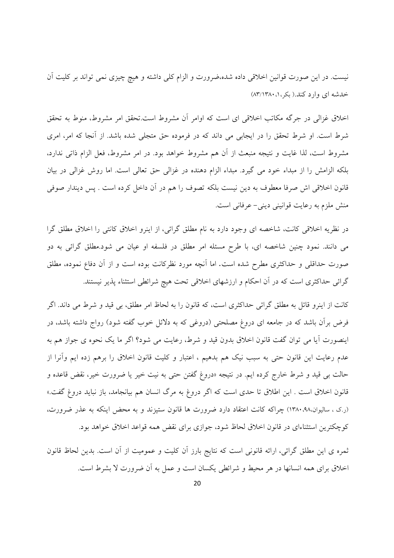نیست. در این صورت قوانین اخلاقی داده شده،ضرورت و الزام کلی داشته و هیچ چیزی نمی تواند بر کلیت آن خدشه ای وارد کند.( بکر،۰، ۱۳۸۰/۱۳۸۰)

اخلاق غزالی در جرگه مکاتب اخلاقی ای است که اوامر آن مشروط است.تحقق امر مشروط، منوط به تحقق شرط است. او شرط تحقق را در ایجابی می داند که در فرموده حق متجلی شده باشد. از آنجا که امر، امری مشروط است، لذا غایت و نتیجه منبعث از آن هم مشروط خواهد بود. در امر مشروط، فعل الزام ذاتی ندارد، بلکه الزامش را از مبداء خود می گیرد. مبداء الزام دهنده در غزالی حق تعالی است. اما روش غزالی در بیان قانون اخلاقی اش صرفا معطوف به دین نیست بلکه تصوف را هم در آن داخل کرده است . پس دیندار صوفی منش ملزم به رعایت قوانینی دینی– عرفانی است.

در نظریه اخلاقی کانت، شاخصه ای وجود دارد به نام مطلق گرائی، از اینرو اخلاق کانتی را اخلاق مطلق گرا می دانند. نمود چنین شاخصه ای، با طرح مسئله امر مطلق در فلسفه او عیان می شود.مطلق گرائی به دو صورت حداقلی و حداکثری مطرح شده است. اما آنچه مورد نظرکانت بوده است و از آن دفاع نموده، مطلق گرائی حداکثری است که در آن احکام و ارزشهای اخلاقی تحت هیچ شرائطی استثناء پذیر نیستند.

کانت از اینرو قائل به مطلق گرائبی حداکثری است، که قانون را به لحاظ امر مطلق، بی قید و شرط می داند. اگر فرض برأن باشد که در جامعه ای دروغ مصلحتی (دروغی که به دلائل خوب گفته شود) رواج داشته باشد، در اینصورت آیا می توان گفت قانون اخلاق بدون قید و شرط، رعایت می شود؟ اگر ما یک نحوه ی جواز هم به عدم رعایت این قانون حتی به سبب نیک هم بدهیم ، اعتبار و کلیت قانون اخلاق را برهم زده ایم وآنرا از حالت ب<sub>ی</sub> قید و شرط خارج کرده ایم. در نتیجه «دروغ گفتن حتی به نیت خیر یا ضرورت خیر، نقض قاعده و قانون اخلاق است . این اطلاق تا حدی است که اگر دروغ به مرگ انسان هم بیانجامد، باز نباید دروغ گفت.» (ر.ک ، سالیوان،۹۸، ۱۳۸۰) چراکه کانت اعتقاد دارد ضرورت ها قانون ستیزند و به محض اینکه به عذر ضرورت، كوچكترين استثناءاي در قانون اخلاق لحاظ شود، جوازي براي نقض همه قواعد اخلاق خواهد بود.

ثمره ی این مطلق گرائی، ارائه قانونی است که نتایج بارز آن کلیت و عمومیت از آن است. بدین لحاظ قانون اخلاق برای همه انسانها در هر محیط و شرائطی یکسان است و عمل به آن ضرورت لا بشرط است.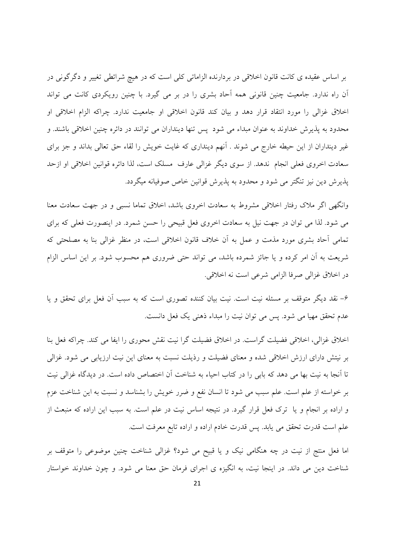بر اساس عقیده ی کانت قانون اخلاقی در بردارنده الزاماتی کلی است که در هیچ شرائطی تغییر و دگرگونی در آن راه ندارد. جامعیت چنین قانونی همه آحاد بشری را در بر می گیرد. با چنین رویکردی کانت می تواند اخلاق غزالي را مورد انتقاد قرار دهد و بيان كند قانون اخلاقي او جامعيت ندارد. چراكه الزام اخلاقي او محدود به پذیرش خداوند به عنوان مبداء می شود پس تنها دینداران می توانند در دائره چنین اخلاقی باشند. و غیر دینداران از این حیطه خارج می شوند . آنهم دینداری که غایت خویش را لقاء حق تعالی بداند و جز برای سعادت اخروی فعلی انجام ندهد. از سوی دیگر غزالی عارف مسلک است، لذا دائره قوانین اخلاقی او ازحد پذیرش دین نیز تنگتر می شود و محدود به پذیرش قوانین خاص صوفیانه میگردد.

وانگهی اگر ملاک رفتار اخلاقی مشروط به سعادت اخروی باشد، اخلاق تماما نسبی و در جهت سعادت معنا می شود. لذا می توان در جهت نیل به سعادت اخروی فعل قبیحی را حسن شمرد. در اینصورت فعلی که برای تمامی آحاد بشری مورد مذمت و عمل به آن خلاف قانون اخلاقی است، در منظر غزالی بنا به مصلحتی که شریعت به آن امر کرده و یا جائز شمرده باشد، می تواند حتی ضروری هم محسوب شود. بر این اساس الزام در اخلاق غزالي صرفا الزامي شرعي است نه اخلاقي.

۶– نقد دیگر متوقف بر مسئله نیت است. نیت بیان کننده تصوری است که به سبب آن فعل برای تحقق و یا عدم تحقق مهیا می شود. پس می توان نیت را مبداء ذهنی یک فعل دانست.

اخلاق غزالی، اخلاقی فضیلت گراست. در اخلاق فضیلت گرا نیت نقش محوری را ایفا می کند. چراکه فعل بنا بر نیتش دارای ارزش اخلاقی شده و معنای فضیلت و رذیلت نسبت به معنای این نیت ارزیابی می شود. غزالی تا اّنجا به نیت بها می دهد که بابی را در کتاب احیاء به شناخت اّن اختصاص داده است. در دیدگاه غزالی نیت بر خواسته از علم است. علم سبب می شود تا انسان نفع و ضرر خویش را بشناسد و نسبت به این شناخت عزم و اراده بر انجام و یا ترک فعل قرار گیرد. در نتیجه اساس نیت در علم است. به سبب این اراده که منبعث از علم است قدرت تحقق می یابد. پس قدرت خادم اراده و اراده تابع معرفت است.

اما فعل منتج از نیت در چه هنگامی نیک و یا قبیح می شود؟ غزالی شناخت چنین موضوعی را متوقف بر شناخت دین می داند. در اینجا نیت، به انگیزه ی اجرای فرمان حق معنا می شود. و چون خداوند خواستار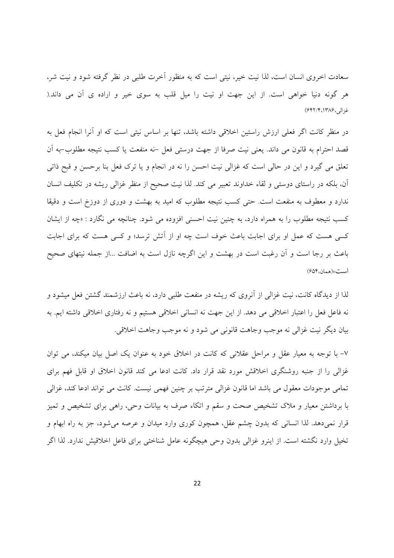سعادت اخروی انسان است، لذا نیت خیر، نیتی است که به منظور آخرت طلبی در نظر گرفته شود و نیت شر، هر گونه دنیا خواهی است. از این جهت او نیت را میل قلب به سوی خیر و اراده ی آن می داند.( غزالى،١٣٨۶،١٣٨٤)

در منظر کانت اگر فعلی ارزش راستین اخلاقی داشته باشد، تنها بر اساس نیتی است که او آنرا انجام فعل به قصد احترام به قانون می داند. یعنی نیت صرفا از جهت درستی فعل –نه منفعت یا کسب نتیجه مطلوب–به آن تعلق می گیرد و این در حالی است که غزالی نیت احسن را نه در انجام و یا ترک فعل بنا برحسن و قبح ذاتی آن، بلکه در راستای دوستی و لقاء خداوند تعبیر می کند. لذا نیت صحیح از منظر غزالی ریشه در تکلیف انسان ندارد و معطوف به منفعت است. حتى كسب نتيجه مطلوب كه اميد به بهشت و دورى از دوزخ است و دقيقا کسب نتیجه مطلوب را به همراه دارد، به چنین نیت احسنی افزوده می شود. چنانچه می نگارد : «چه از ایشان کسی هست که عمل او برای اجابت باعث خوف است چه او از آتش ترسد؛ و کسی هست که برای اجابت باعث بر رجا است و آن رغبت است در بهشت و این اگرچه نازل است به اضافت …از جمله نیتهای صحیح است» (همان، ۶۵۴)

لذا از دیدگاه کانت، نیت غزالی از آنروی که ریشه در منفعت طلبی دارد، نه باعث ارزشمند گشتن فعل میشود و نه فاعل فعل را اعتبار اخلاقی می دهد. از این جهت نه انسانی اخلاقی هستیم و نه رفتاری اخلاقی داشته ایم. به بيان ديگر نيت غزالي نه موجب وجاهت قانوني مي شود و نه موجب وجاهت اخلاقي.

۷– با توجه به معیار عقل و مراحل عقلانی که کانت در اخلاق خود به عنوان یک اصل بیان میکند، می توان غزالی را از جنبه روشنگری اخلاقش مورد نقد قرار داد. کانت ادعا می کند قانون اخلاق او قابل فهم برای تمامي موجودات معقول مي باشد اما قانون غزالي مترتب بر چنين فهمي نيست. كانت مي تواند ادعا كند، غزالي با برداشتن معیار و ملاک تشخیص صحت و سقم و اتکاء صرف به بیانات وحی، راهی برای تشخیص و تمیز قرار نمی دهد. لذا انسانی که بدون چشم عقل، همچون کوری وارد میدان و عرصه می شود، جز به راه ابهام و تخیل وارد نگشته است. از اینرو غزالی بدون وحی هیچگونه عامل شناختی برای فاعل اخلاقیش ندارد. لذا اگر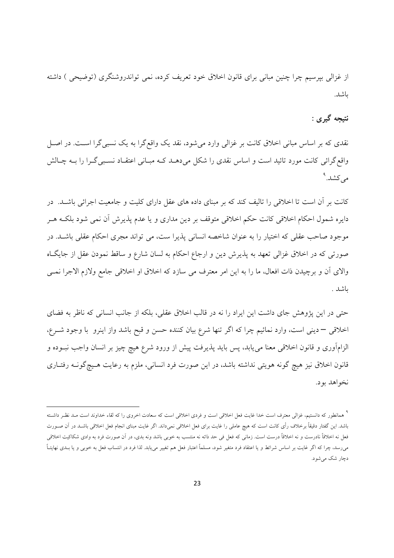از غزالی بیرسیم چرا چنین مبانی برای قانون اخلاق خود تعریف کرده، نمی تواندروشنگری (توضیحی ) داشته ىاشد.

# نتيجه گيري :

نقدی که بر اساس مبانی اخلاق کانت بر غزالی وارد می شود، نقد یک واقع گرا به یک نسبی گرا است. در اصـل واقع گرائی کانت مورد تائید است و اساس نقدی را شکل می دهـد کـه مبـانی اعتقـاد نسـبی گـرا را بـه چـالش می کشد.<sup>۹</sup>

کانت بر آن است تا اخلاقی را تالیف کند که بر مبنای داده های عقل دارای کلیت و جامعیت اجرائی باشـد. در دایره شمول احکام اخلاقی کانت حکم اخلاقی متوقف بر دین مداری و یا عدم پذیرش آن نمی شود بلکـه هـر موجود صاحب عقلی که اختیار را به عنوان شاخصه انسانی پذیرا ست، می تواند مجری احکام عقلی باشـد. در صورتی که در اخلاق غزالی تعهد به پذیرش دین و ارجاع احکام به لسان شارع و ساقط نمودن عقل از جایگIه والاي آن و برچيدن ذات افعال، ما را به اين امر معترف مي سازد كه اخلاق او اخلاقي جامع ولازم الاجرا نمـي ىاشد .

حتی در این پژوهش جای داشت این ایراد را نه در قالب اخلاق عقلی، بلکه از جانب انسانی که ناظر به فضای اخلاقی – دینی است، وارد نمائیم چرا که اگر تنها شرع بیان کننده حسن و قبح باشد واز اینرو با وجود شـرع، الزامآوري و قانون اخلاقي معنا ميءابد، پس بايد پذيرفت پيش از ورود شرع هيچ چيز بر انسان واجب نبــوده و قانون اخلاق نیز هیچ گونه هویتی نداشته باشد، در این صورت فرد انسانی، ملزم به رعایت هـیچگونــه رفتــاری نخواهد بود.

<sup>`</sup> همانطور که دانستیم، غزالی معترف است خدا غایت فعل اخلاقی است و فردی اخلاقی است که سعادت اخروی را که لقاء خداوند است مـد نظـر داشـته باشد. این گفتار دقیقاً برخلاف رأی کانت است که هیچ عاملی را غایت برای فعل اخلاقی نمیداند. اگر غایت مبنای انجام فعل اخلاقی باشـد در آن صـورت فعل نه اخلاقاً نادرست و نه اخلاقاً درست است. زمانی که فعل فی حد ذاته نه منتسب به خوبی باشد ونه بدی، در اَن صورت فرد به وادی شکاکیت اخلاقی میرسد، چرا که اگر غایت بر اساس شرائط و یا اعتقاد فرد متغیر شود، مسلماً اعتبار فعل هم تغییر می،یابد. لذا فرد در انتساب فعل به خوبی و یا بـدی نهایتـاً دچار شک میشود.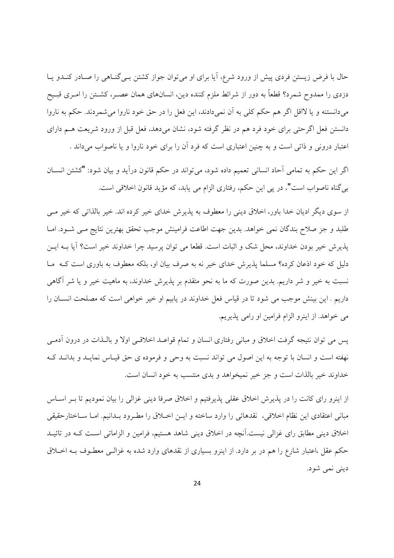حال با فرض زیستن فردی پیش از ورود شرع، آیا برای او می توان جواز کشتن بـی گنـاهی را صـادر کنـدو پـا دزدی را ممدوح شمرد؟ قطعاً به دور از شرائط ملزم کننده دین، انسانهای همان عصـر، کشــتن را امـری قبـیح مي دانستنه و يا لااقل اگر هم حكم كلي به آن نمي دادند، اين فعل را در حق خود ناروا مي شمر دند. حكم به ناروا دانستن فعل اگر حتی برای خود فرد هم در نظر گرفته شود، نشان میدهد، فعل قبل از ورود شریعت هــم دارای اعتبار درونی و ذاتی است و به چنین اعتباری است که فرد آن را برای خود ناروا و یا ناصواب میداند .

اگر این حکم به تمامی آحاد انسانی تعمیم داده شود، می تواند در حکم قانون درآید و بیان شود: "کشتن انســان بی گناه ناصواب است". در پی این حکم، رفتاری الزام می یابد، که مؤید قانون اخلاقی است.

از سوی دیگر ادیان خدا باور، اخلاق دینی را معطوف به پذیرش خدای خیر کرده اند. خیر بالذاتی که خیر مــی طلبد و جز صلاح بندگان نمی خواهد. بدین جهت اطاعت فرامینش موجب تحقق بهترین نتایج مبی شـود. امـا يذيرش خير بودن خداوند، محل شک و اثبات است. قطعا مي توان پرسيد چرا خداوند خير است؟ آيا بــه ايــن دلیل که خود اذعان کرده؟ مسلما پذیرش خدای خیر نه به صرف بیان او، بلکه معطوف به باوری است کـه مـا نسبت به خیر و شر داریم. بدین صورت که ما به نحو متقدم بر پذیرش خداوند، به ماهیت خیر و یا شر آگاهی داریم . این بینش موجب می شود تا در قیاس فعل خداوند در یابیم او خیر خواهی است که مصلحت انسـان را می خواهد. از اینرو الزام فرامین او رامی پذیریم.

یس می توان نتیجه گرفت اخلاق و مبانی رفتاری انسان و تمام قواعـد اخلاقـی اولا و بالـذات در درون اَدمـی نهفته است و انسان با توجه به این اصول می تواند نسبت به وحی و فرموده ی حق قیـاس نمایـد و بدانـد کـه خداوند خير بالذات است و جز خير نميخواهد و بدي منتسب به خود انسان است.

از اینرو رای کانت را در پذیرش اخلاق عقلی پذیرفتیم و اخلاق صرفا دینی غزالی را بیان نمودیم تا بـر اسـاس مباني اعتقادي اين نظام اخلاقي، نقدهائي را وارد ساخته و ايــن اخــلاق را مطـرود بــدانيم. امــا ســاختارحقيقي اخلاق دینی مطابق رای غزالی نیست.آنچه در اخلاق دینی شاهد هستیم، فرامین و الزاماتی است کـه در تائیـد حکم عقل ،اعتبار شارع را هم در بر دارد. از اینرو بسیاری از نقدهای وارد شده به غزالـی معطـوف بــه اخــلاق ديني نمي شود.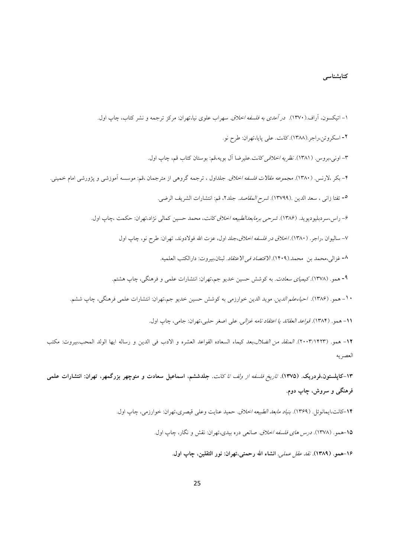#### كتابشناس*ى*

۱– اتیکسون، آراف.(۱۳۷۰). *در آمدی به فلسفه اخلاق. سهر*اب علوی نیا،تهران: مرکز ترجمه و نشر کتاب، چاپ اول. ۲- اسکروتن،راجر.(۱۳۸۸). *کانت*. علی پایا،تهران: طرح نو. ٣– اونی،بروس. (١٣٨١). *نظريه اخلاقی كانت*.عليرضا ال بويه،قم: بوستان كتاب قم، چاپ اول. ۴– بکر ،لارنس. (۱۳۸۰). *مجموعه مقالات فلسفه اخلاق*. جلداول ، ترجمه گروه<sub>ی</sub> از مترجمان ،قم: موسسه آموزشی و پژورشی امام خمینی. 0- تفتا زاني ، سعد الدين .(١٣٧٩٩). *شرح المقاصد*. جلد٢، قم: انتشارات الشريف الرضي. ۶– راس،سردبليوديويد. (۱۳۸۶). *شرحي برمابعدالطبيعه اخلاق كانت*، محمد حسين كمالي نژاد،تهران: حكمت ،چاپ اول. Y– ساليوان ،راجر. (١٣٨٠). *اخلاق در فلسفه اخلاق،ج*لد اول، عزت الله فولادوند، تهران: طرح نو، چاپ اول ٨- غزالي،محمد بن محمد.(١۴٠٩). *الاقتصاد في الاعتقاد*. لبنان،بيروت: دارالكتب العلميه. ۹- همو. (۱۳۷۸).كي*مياى سعادت*. به كوشش حسين خديو جم،تهران: انتشارات علمي و فرهنگي، چاپ هشتم. • ١ – همو. (١٣٨۶). *احياءعلم الدين*. مويد الدين خوارزمي به كوشش حسين خديو جم،تهران: انتشارات علمي فرهنگي، چاپ ششم. 11- همو. (۱۳۸۴). *قواعد العقائد يا اعتقاد نامه غزالي. ع*لى اصغر حلبي،تهران: جامي، چاپ اول. 1**۲**– همو. (۲۰۰۳/۱۴۲۳). *المنقذ من الضلال،بعد* كيماء السعاده القواعد العشره و الادب في الدين و رساله ايها الولد المحب،بيروت: مكتب العصريه

۱۳–کاپلستون،فردریک. (۱۳۷۵). *تاریخ فلسفه از ولف تا کانت. ج*لدششم، اسماعیل سعادت و منوچهر بزرگمهر، تهران: انتشارات علمی فرهنگ<sub>ی</sub> و سروش، چاپ دوم.

۱۴-کانت،ایمانوئل. (۱۳۶۹). *بنیاد مابعد الطبیعه اخلاق*. حمید عنایت وعلی قیصری،تهران: خوارزمی، چاپ اول.

۱۵-همو. (۱۳۷۸). *درس های فلسفه اخلاق. ص*انعی دره بیدی،تهران: نقش و نگار، چاپ اول.

۱۶–همو. (۱۳۸۹). *نقد عقل عملي*. انشاء الله رحمتي،تهران: نور الثقلين، چاپ اول.